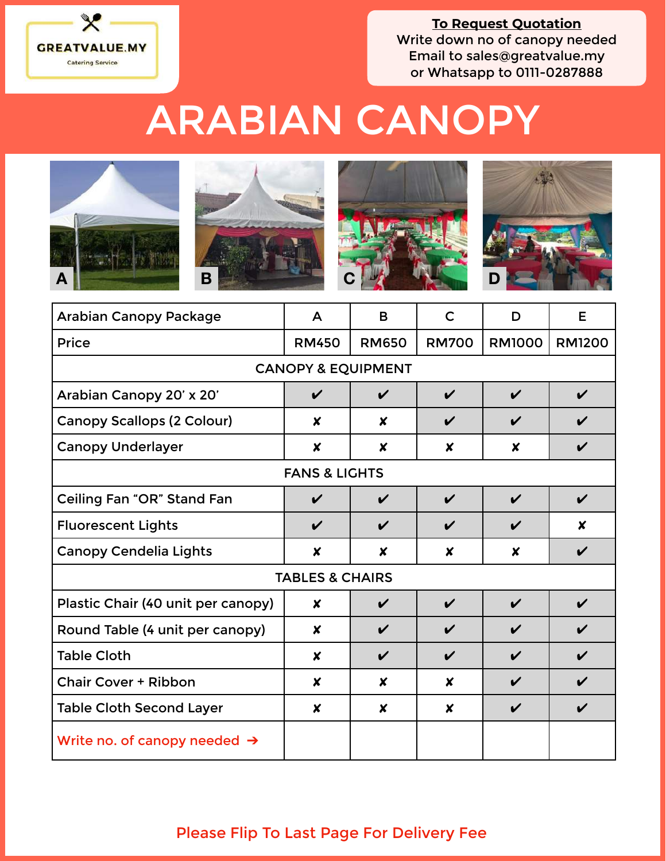

**To Request Quotation** Write down no of canopy needed Email to [sales@greatvalue.my](mailto:sales@greatvalue.my) or Whatsapp to 0111-0287888

## ARABIAN CANOPY



| <b>Arabian Canopy Package</b>            | A                  | B                | $\mathsf{C}$               | D                  | E             |  |
|------------------------------------------|--------------------|------------------|----------------------------|--------------------|---------------|--|
| <b>Price</b>                             | <b>RM450</b>       | <b>RM650</b>     | <b>RM700</b>               | <b>RM1000</b>      | <b>RM1200</b> |  |
| <b>CANOPY &amp; EQUIPMENT</b>            |                    |                  |                            |                    |               |  |
| Arabian Canopy 20' x 20'                 | $\boldsymbol{\nu}$ | V                | $\boldsymbol{\nu}$         | $\boldsymbol{\nu}$ | V             |  |
| <b>Canopy Scallops (2 Colour)</b>        | $\boldsymbol{x}$   | $\boldsymbol{x}$ | $\boldsymbol{\mathcal{U}}$ | $\boldsymbol{\nu}$ | V             |  |
| <b>Canopy Underlayer</b>                 | $\boldsymbol{x}$   | X                | $\boldsymbol{x}$           | X                  | V             |  |
| <b>FANS &amp; LIGHTS</b>                 |                    |                  |                            |                    |               |  |
| Ceiling Fan "OR" Stand Fan               | $\boldsymbol{\nu}$ | V                | $\boldsymbol{\nu}$         | $\checkmark$       | V             |  |
| <b>Fluorescent Lights</b>                | $\boldsymbol{\nu}$ | V                | V                          | $\boldsymbol{\nu}$ | X             |  |
| <b>Canopy Cendelia Lights</b>            | $\boldsymbol{x}$   | X                | $\boldsymbol{x}$           | $\boldsymbol{x}$   | V             |  |
| <b>TABLES &amp; CHAIRS</b>               |                    |                  |                            |                    |               |  |
| Plastic Chair (40 unit per canopy)       | $\boldsymbol{x}$   | V                | $\boldsymbol{\nu}$         | $\boldsymbol{\nu}$ | V             |  |
| Round Table (4 unit per canopy)          | $\boldsymbol{x}$   | V                | $\boldsymbol{\nu}$         | $\boldsymbol{\nu}$ |               |  |
| <b>Table Cloth</b>                       | X                  | V                | V                          | $\boldsymbol{\nu}$ | V             |  |
| <b>Chair Cover + Ribbon</b>              | X                  | X                | X                          | $\boldsymbol{\nu}$ | V             |  |
| <b>Table Cloth Second Layer</b>          | $\boldsymbol{x}$   | $\boldsymbol{x}$ | $\boldsymbol{x}$           | $\boldsymbol{\nu}$ | V             |  |
| Write no. of canopy needed $\rightarrow$ |                    |                  |                            |                    |               |  |

## Please Flip To Last Page For Delivery Fee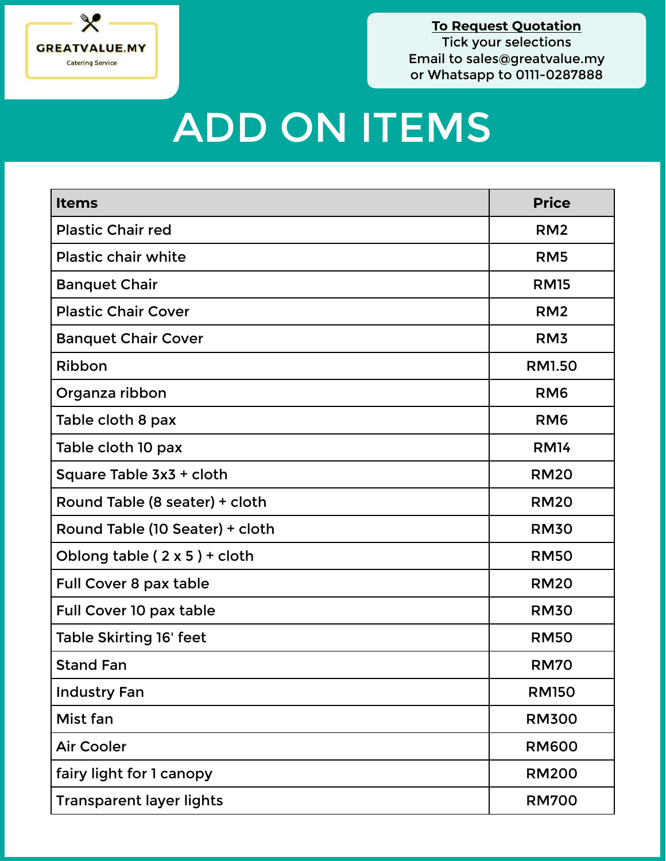

## ADD ON ITEMS

| <b>Items</b>                        | <b>Price</b>    |  |
|-------------------------------------|-----------------|--|
| <b>Plastic Chair red</b>            | RM <sub>2</sub> |  |
| <b>Plastic chair white</b>          | RM <sub>5</sub> |  |
| <b>Banquet Chair</b>                | <b>RM15</b>     |  |
| <b>Plastic Chair Cover</b>          | RM <sub>2</sub> |  |
| <b>Banquet Chair Cover</b>          | RM <sub>3</sub> |  |
| Ribbon                              | <b>RM1.50</b>   |  |
| Organza ribbon                      | RM <sub>6</sub> |  |
| Table cloth 8 pax                   | RM <sub>6</sub> |  |
| Table cloth 10 pax                  | <b>RM14</b>     |  |
| Square Table 3x3 + cloth            | <b>RM20</b>     |  |
| Round Table (8 seater) + cloth      | <b>RM20</b>     |  |
| Round Table (10 Seater) + cloth     | <b>RM30</b>     |  |
| Oblong table $(2 \times 5)$ + cloth | <b>RM50</b>     |  |
| Full Cover 8 pax table              | <b>RM20</b>     |  |
| Full Cover 10 pax table             | <b>RM30</b>     |  |
| Table Skirting 16' feet             | <b>RM50</b>     |  |
| <b>Stand Fan</b>                    | <b>RM70</b>     |  |
| <b>Industry Fan</b>                 | <b>RM150</b>    |  |
| Mist fan                            | <b>RM300</b>    |  |
| <b>Air Cooler</b>                   | <b>RM600</b>    |  |
| fairy light for 1 canopy            | <b>RM200</b>    |  |
| <b>Transparent layer lights</b>     | <b>RM700</b>    |  |